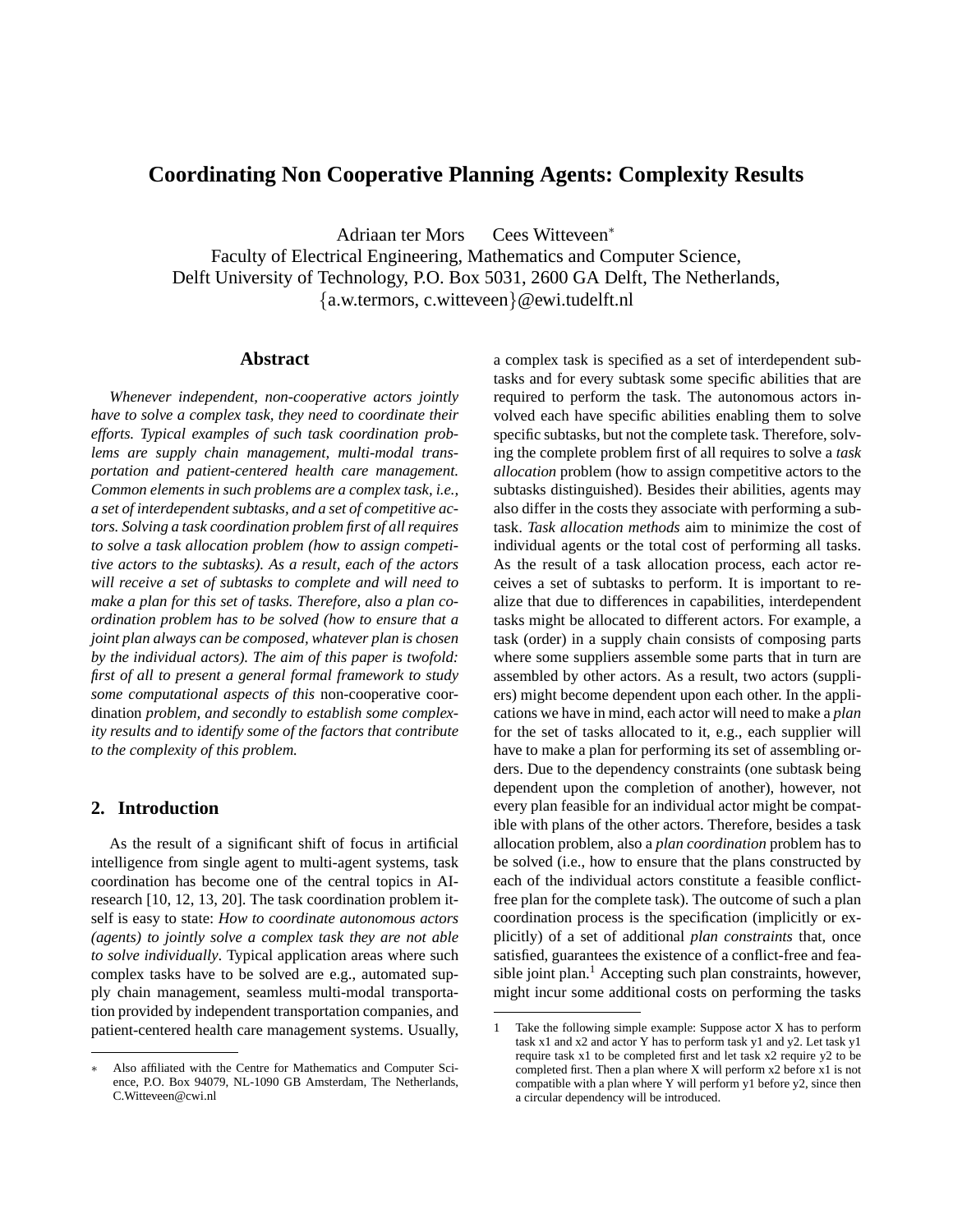# **Coordinating Non Cooperative Planning Agents: Complexity Results**

Adriaan ter Mors Cees Witteveen<sup>∗</sup>

Faculty of Electrical Engineering, Mathematics and Computer Science, Delft University of Technology, P.O. Box 5031, 2600 GA Delft, The Netherlands, {a.w.termors, c.witteveen}@ewi.tudelft.nl

## **Abstract**

*Whenever independent, non-cooperative actors jointly have to solve a complex task, they need to coordinate their efforts. Typical examples of such task coordination problems are supply chain management, multi-modal transportation and patient-centered health care management. Common elements in such problems are a complex task, i.e., a set of interdependent subtasks, and a set of competitive actors. Solving a task coordination problem first of all requires to solve a task allocation problem (how to assign competitive actors to the subtasks). As a result, each of the actors will receive a set of subtasks to complete and will need to make a plan for this set of tasks. Therefore, also a plan coordination problem has to be solved (how to ensure that a joint plan always can be composed, whatever plan is chosen by the individual actors). The aim of this paper is twofold: first of all to present a general formal framework to study some computational aspects of this* non-cooperative coordination *problem, and secondly to establish some complexity results and to identify some of the factors that contribute to the complexity of this problem.*

# **2. Introduction**

As the result of a significant shift of focus in artificial intelligence from single agent to multi-agent systems, task coordination has become one of the central topics in AIresearch [10, 12, 13, 20]. The task coordination problem itself is easy to state: *How to coordinate autonomous actors (agents) to jointly solve a complex task they are not able to solve individually*. Typical application areas where such complex tasks have to be solved are e.g., automated supply chain management, seamless multi-modal transportation provided by independent transportation companies, and patient-centered health care management systems. Usually,

a complex task is specified as a set of interdependent subtasks and for every subtask some specific abilities that are required to perform the task. The autonomous actors involved each have specific abilities enabling them to solve specific subtasks, but not the complete task. Therefore, solving the complete problem first of all requires to solve a *task allocation* problem (how to assign competitive actors to the subtasks distinguished). Besides their abilities, agents may also differ in the costs they associate with performing a subtask. *Task allocation methods* aim to minimize the cost of individual agents or the total cost of performing all tasks. As the result of a task allocation process, each actor receives a set of subtasks to perform. It is important to realize that due to differences in capabilities, interdependent tasks might be allocated to different actors. For example, a task (order) in a supply chain consists of composing parts where some suppliers assemble some parts that in turn are assembled by other actors. As a result, two actors (suppliers) might become dependent upon each other. In the applications we have in mind, each actor will need to make a *plan* for the set of tasks allocated to it, e.g., each supplier will have to make a plan for performing its set of assembling orders. Due to the dependency constraints (one subtask being dependent upon the completion of another), however, not every plan feasible for an individual actor might be compatible with plans of the other actors. Therefore, besides a task allocation problem, also a *plan coordination* problem has to be solved (i.e., how to ensure that the plans constructed by each of the individual actors constitute a feasible conflictfree plan for the complete task). The outcome of such a plan coordination process is the specification (implicitly or explicitly) of a set of additional *plan constraints* that, once satisfied, guarantees the existence of a conflict-free and feasible joint plan.<sup>1</sup> Accepting such plan constraints, however, might incur some additional costs on performing the tasks

Also affiliated with the Centre for Mathematics and Computer Science, P.O. Box 94079, NL-1090 GB Amsterdam, The Netherlands, C.Witteveen@cwi.nl

<sup>1</sup> Take the following simple example: Suppose actor X has to perform task x1 and x2 and actor Y has to perform task y1 and y2. Let task y1 require task x1 to be completed first and let task x2 require y2 to be completed first. Then a plan where X will perform x2 before x1 is not compatible with a plan where Y will perform y1 before y2, since then a circular dependency will be introduced.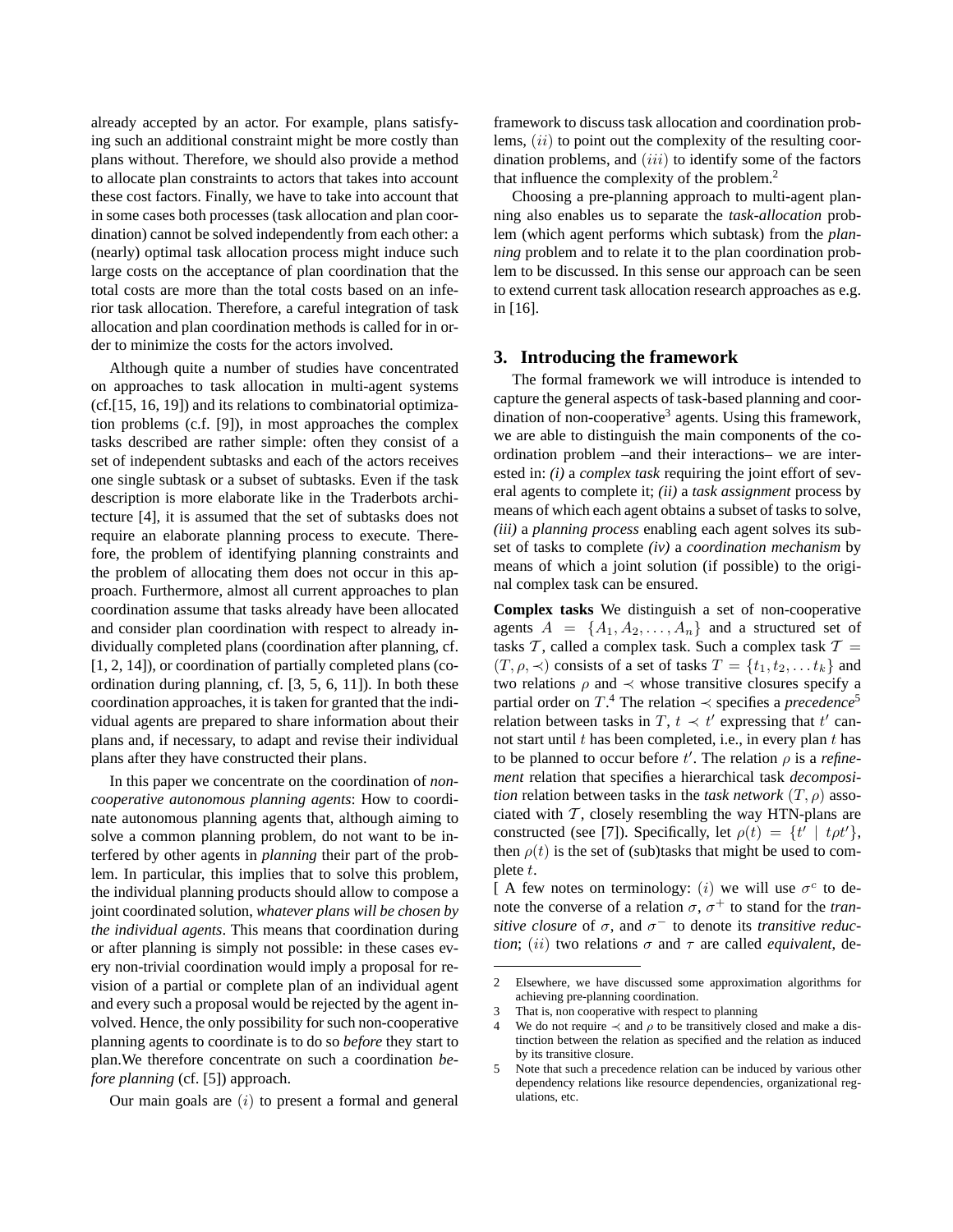already accepted by an actor. For example, plans satisfying such an additional constraint might be more costly than plans without. Therefore, we should also provide a method to allocate plan constraints to actors that takes into account these cost factors. Finally, we have to take into account that in some cases both processes (task allocation and plan coordination) cannot be solved independently from each other: a (nearly) optimal task allocation process might induce such large costs on the acceptance of plan coordination that the total costs are more than the total costs based on an inferior task allocation. Therefore, a careful integration of task allocation and plan coordination methods is called for in order to minimize the costs for the actors involved.

Although quite a number of studies have concentrated on approaches to task allocation in multi-agent systems (cf.[15, 16, 19]) and its relations to combinatorial optimization problems (c.f. [9]), in most approaches the complex tasks described are rather simple: often they consist of a set of independent subtasks and each of the actors receives one single subtask or a subset of subtasks. Even if the task description is more elaborate like in the Traderbots architecture [4], it is assumed that the set of subtasks does not require an elaborate planning process to execute. Therefore, the problem of identifying planning constraints and the problem of allocating them does not occur in this approach. Furthermore, almost all current approaches to plan coordination assume that tasks already have been allocated and consider plan coordination with respect to already individually completed plans (coordination after planning, cf. [1, 2, 14]), or coordination of partially completed plans (coordination during planning, cf. [3, 5, 6, 11]). In both these coordination approaches, it is taken for granted that the individual agents are prepared to share information about their plans and, if necessary, to adapt and revise their individual plans after they have constructed their plans.

In this paper we concentrate on the coordination of *noncooperative autonomous planning agents*: How to coordinate autonomous planning agents that, although aiming to solve a common planning problem, do not want to be interfered by other agents in *planning* their part of the problem. In particular, this implies that to solve this problem, the individual planning products should allow to compose a joint coordinated solution, *whatever plans will be chosen by the individual agents*. This means that coordination during or after planning is simply not possible: in these cases every non-trivial coordination would imply a proposal for revision of a partial or complete plan of an individual agent and every such a proposal would be rejected by the agent involved. Hence, the only possibility for such non-cooperative planning agents to coordinate is to do so *before* they start to plan.We therefore concentrate on such a coordination *before planning* (cf. [5]) approach.

Our main goals are  $(i)$  to present a formal and general

framework to discuss task allocation and coordination problems,  $(ii)$  to point out the complexity of the resulting coordination problems, and  $(iii)$  to identify some of the factors that influence the complexity of the problem.<sup>2</sup>

Choosing a pre-planning approach to multi-agent planning also enables us to separate the *task-allocation* problem (which agent performs which subtask) from the *planning* problem and to relate it to the plan coordination problem to be discussed. In this sense our approach can be seen to extend current task allocation research approaches as e.g. in [16].

### **3. Introducing the framework**

The formal framework we will introduce is intended to capture the general aspects of task-based planning and coordination of non-cooperative<sup>3</sup> agents. Using this framework, we are able to distinguish the main components of the coordination problem –and their interactions– we are interested in: *(i)* a *complex task* requiring the joint effort of several agents to complete it; *(ii)* a *task assignment* process by means of which each agent obtains a subset of tasks to solve, *(iii)* a *planning process* enabling each agent solves its subset of tasks to complete *(iv)* a *coordination mechanism* by means of which a joint solution (if possible) to the original complex task can be ensured.

**Complex tasks** We distinguish a set of non-cooperative agents  $A = \{A_1, A_2, \ldots, A_n\}$  and a structured set of tasks T, called a complex task. Such a complex task  $T =$  $(T, \rho, \prec)$  consists of a set of tasks  $T = \{t_1, t_2, \ldots t_k\}$  and two relations  $\rho$  and  $\prec$  whose transitive closures specify a partial order on  $T^4$ . The relation  $\prec$  specifies a *precedence*<sup>5</sup> relation between tasks in T,  $t \prec t'$  expressing that  $t'$  cannot start until  $t$  has been completed, i.e., in every plan  $t$  has to be planned to occur before  $t'$ . The relation  $\rho$  is a *refinement* relation that specifies a hierarchical task *decomposition* relation between tasks in the *task network*  $(T, \rho)$  associated with  $\mathcal T$ , closely resembling the way HTN-plans are constructed (see [7]). Specifically, let  $\rho(t) = \{t' \mid t \rho t'\},\$ then  $\rho(t)$  is the set of (sub)tasks that might be used to complete t.

[ A few notes on terminology: (i) we will use  $\sigma^c$  to denote the converse of a relation  $\sigma$ ,  $\sigma^+$  to stand for the *transitive closure* of  $\sigma$ , and  $\sigma^-$  to denote its *transitive reduction*; (*ii*) two relations  $\sigma$  and  $\tau$  are called *equivalent*, de-

<sup>2</sup> Elsewhere, we have discussed some approximation algorithms for achieving pre-planning coordination.

<sup>3</sup> That is, non cooperative with respect to planning

<sup>4</sup> We do not require  $\prec$  and  $\rho$  to be transitively closed and make a distinction between the relation as specified and the relation as induced by its transitive closure.

<sup>5</sup> Note that such a precedence relation can be induced by various other dependency relations like resource dependencies, organizational regulations, etc.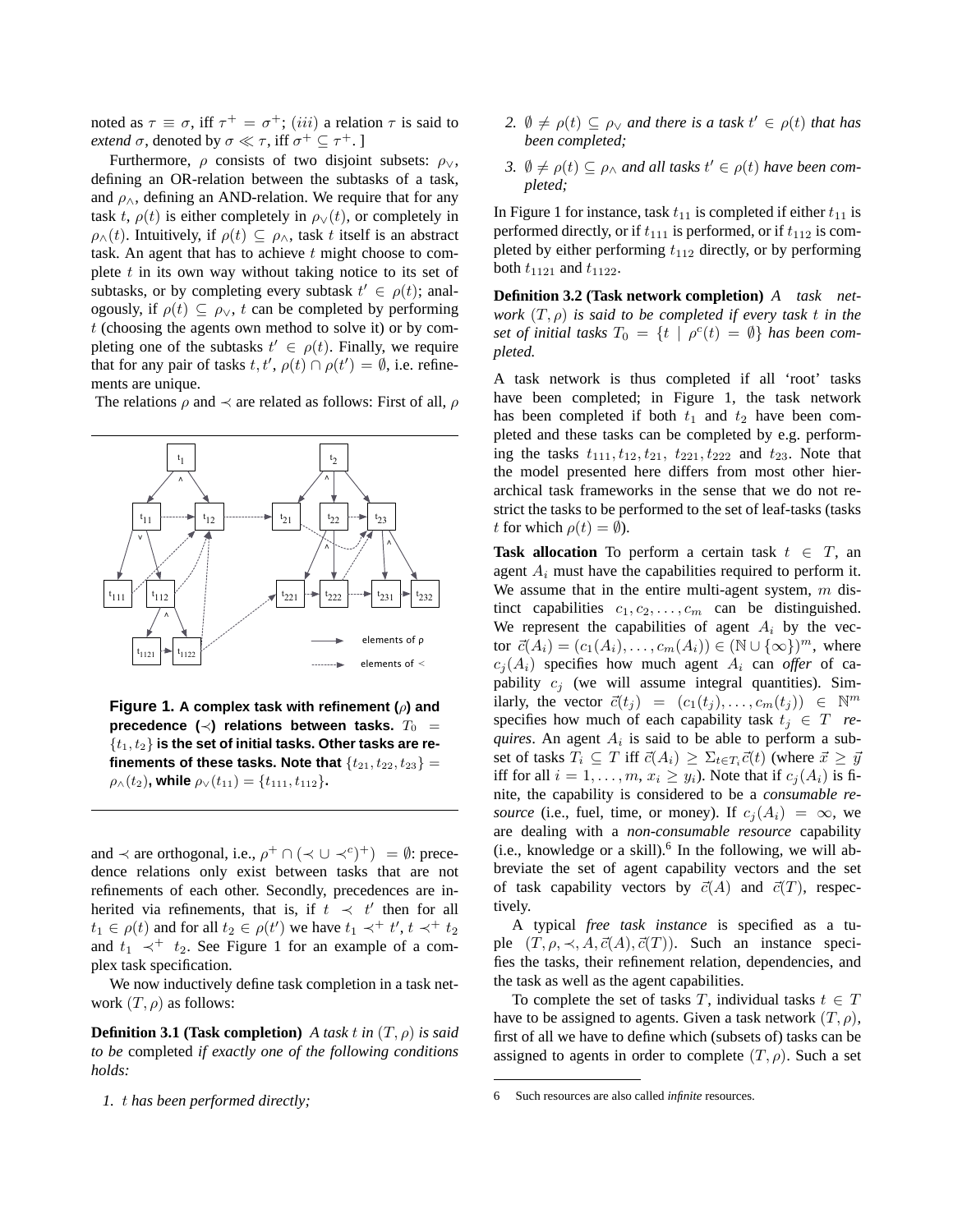noted as  $\tau \equiv \sigma$ , iff  $\tau^+ = \sigma^+$ ; (*iii*) a relation  $\tau$  is said to *extend*  $\sigma$ , denoted by  $\sigma \ll \tau$ , iff  $\sigma^+ \subseteq \tau^+$ .

Furthermore,  $\rho$  consists of two disjoint subsets:  $\rho_{\vee}$ , defining an OR-relation between the subtasks of a task, and  $\rho_{\wedge}$ , defining an AND-relation. We require that for any task t,  $\rho(t)$  is either completely in  $\rho_\vee(t)$ , or completely in  $\rho_{\Lambda}(t)$ . Intuitively, if  $\rho(t) \subseteq \rho_{\Lambda}$ , task t itself is an abstract task. An agent that has to achieve  $t$  might choose to complete  $t$  in its own way without taking notice to its set of subtasks, or by completing every subtask  $t' \in \rho(t)$ ; analogously, if  $\rho(t) \subseteq \rho_{\vee}$ , t can be completed by performing  $t$  (choosing the agents own method to solve it) or by completing one of the subtasks  $t' \in \rho(t)$ . Finally, we require that for any pair of tasks  $t, t', \rho(t) \cap \rho(t') = \emptyset$ , i.e. refinements are unique.

The relations  $\rho$  and  $\prec$  are related as follows: First of all,  $\rho$ 



**Figure 1. A complex task with refinement (**ρ**) and** precedence  $(\prec)$  relations between tasks.  $T_0 =$ {t1, t2} **is the set of initial tasks. Other tasks are refinements of these tasks. Note that**  $\{t_{21}, t_{22}, t_{23}\} =$  $\rho_{\wedge}(t_2)$ , while  $\rho_{\vee}(t_{11}) = \{t_{111}, t_{112}\}.$ 

and  $\prec$  are orthogonal, i.e.,  $\rho^+ \cap (\prec \cup \prec^c)^+) = \emptyset$ : precedence relations only exist between tasks that are not refinements of each other. Secondly, precedences are inherited via refinements, that is, if  $t \prec t'$  then for all  $t_1 \in \rho(t)$  and for all  $t_2 \in \rho(t')$  we have  $t_1 \prec^+ t', t \prec^+ t_2$ and  $t_1 \prec^+ t_2$ . See Figure 1 for an example of a complex task specification.

We now inductively define task completion in a task network  $(T, \rho)$  as follows:

**Definition 3.1 (Task completion)** *A task t in*  $(T, \rho)$  *is said to be* completed *if exactly one of the following conditions holds:*

*1.* t *has been performed directly;*

- 2.  $\emptyset \neq \rho(t) \subseteq \rho_{\vee}$  *and there is a task*  $t' \in \rho(t)$  *that has been completed;*
- 3.  $\emptyset \neq \rho(t) \subseteq \rho_{\wedge}$  *and all tasks*  $t' \in \rho(t)$  *have been completed;*

In Figure 1 for instance, task  $t_{11}$  is completed if either  $t_{11}$  is performed directly, or if  $t_{111}$  is performed, or if  $t_{112}$  is completed by either performing  $t_{112}$  directly, or by performing both  $t_{1121}$  and  $t_{1122}$ .

**Definition 3.2 (Task network completion)** *A task network* (T, ρ) *is said to be completed if every task* t *in the* set of initial tasks  $T_0 = \{t \mid \rho^c(t) = \emptyset\}$  has been com*pleted.*

A task network is thus completed if all 'root' tasks have been completed; in Figure 1, the task network has been completed if both  $t_1$  and  $t_2$  have been completed and these tasks can be completed by e.g. performing the tasks  $t_{111}$ ,  $t_{12}$ ,  $t_{21}$ ,  $t_{221}$ ,  $t_{222}$  and  $t_{23}$ . Note that the model presented here differs from most other hierarchical task frameworks in the sense that we do not restrict the tasks to be performed to the set of leaf-tasks (tasks t for which  $\rho(t) = \emptyset$ ).

**Task allocation** To perform a certain task  $t \in T$ , an agent  $A_i$  must have the capabilities required to perform it. We assume that in the entire multi-agent system,  $m$  distinct capabilities  $c_1, c_2, \ldots, c_m$  can be distinguished. We represent the capabilities of agent  $A_i$  by the vector  $\vec{c}(A_i) = (c_1(A_i), \ldots, c_m(A_i)) \in (\mathbb{N} \cup \{\infty\})^m$ , where  $c_i(A_i)$  specifies how much agent  $A_i$  can *offer* of capability  $c_j$  (we will assume integral quantities). Similarly, the vector  $\vec{c}(t_j) = (c_1(t_j), \dots, c_m(t_j)) \in \mathbb{N}^m$ specifies how much of each capability task  $t_i \in T$  *requires*. An agent  $A_i$  is said to be able to perform a subset of tasks  $T_i \subseteq T$  iff  $\vec{c}(A_i) \ge \sum_{t \in T_i} \vec{c}(t)$  (where  $\vec{x} \ge \vec{y}$ iff for all  $i = 1, \ldots, m$ ,  $x_i \ge y_i$ ). Note that if  $c_i(A_i)$  is finite, the capability is considered to be a *consumable resource* (i.e., fuel, time, or money). If  $c_i(A_i) = \infty$ , we are dealing with a *non-consumable resource* capability  $(i.e.,$  knowledge or a skill).<sup>6</sup> In the following, we will abbreviate the set of agent capability vectors and the set of task capability vectors by  $\vec{c}(A)$  and  $\vec{c}(T)$ , respectively.

A typical *free task instance* is specified as a tuple  $(T, \rho, \prec, A, \vec{c}(A), \vec{c}(T))$ . Such an instance specifies the tasks, their refinement relation, dependencies, and the task as well as the agent capabilities.

To complete the set of tasks T, individual tasks  $t \in T$ have to be assigned to agents. Given a task network  $(T, \rho)$ , first of all we have to define which (subsets of) tasks can be assigned to agents in order to complete  $(T, \rho)$ . Such a set

<sup>6</sup> Such resources are also called *infinite* resources.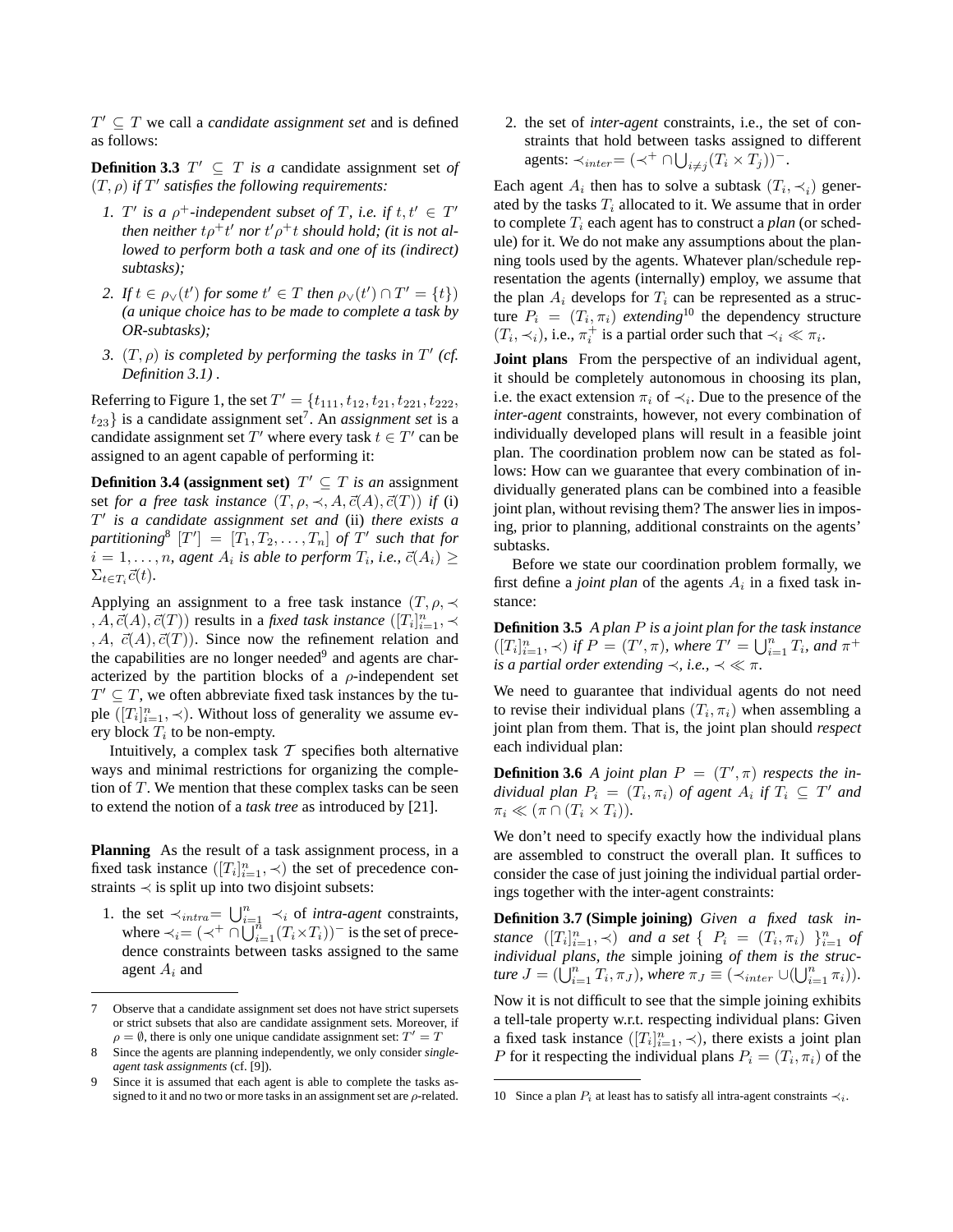$T' \subseteq T$  we call a *candidate assignment set* and is defined as follows:

**Definition 3.3**  $T' \subseteq T$  *is a* candidate assignment set *of*  $(T, \rho)$  *if*  $T'$  satisfies the following requirements:

- *1.*  $T'$  is a  $\rho^+$ -independent subset of T, i.e. if  $t, t' \in T'$  $t$ hen neither  $t\rho^+ t'$  nor  $t' \rho^+ t$  should hold; (it is not al*lowed to perform both a task and one of its (indirect) subtasks);*
- 2. If  $t \in \rho_{\vee}(t')$  for some  $t' \in T$  then  $\rho_{\vee}(t') \cap T' = \{t\})$ *(a unique choice has to be made to complete a task by OR-subtasks);*
- 3.  $(T, \rho)$  *is completed by performing the tasks in*  $T'$  (*cf. Definition 3.1) .*

Referring to Figure 1, the set  $T' = \{t_{111}, t_{12}, t_{21}, t_{221}, t_{222},$  $t_{23}$ } is a candidate assignment set<sup>7</sup>. An *assignment set* is a candidate assignment set T' where every task  $t \in T'$  can be assigned to an agent capable of performing it:

**Definition 3.4 (assignment set)**  $T' \subseteq T$  *is an* assignment set *for a free task instance*  $(T, \rho, \prec, A, \vec{c}(A), \vec{c}(T))$  *if* (i) T 0 *is a candidate assignment set and* (ii) *there exists a*  $partitioning<sup>8</sup>$   $[T'] = [T_1, T_2, \ldots, T_n]$  *of*  $T'$  such that for  $i = 1, \ldots, n$ , agent  $A_i$  is able to perform  $T_i$ , i.e.,  $\vec{c}(A_i) \geq$  $\Sigma_{t \in T_i} \vec{c}(t)$ .

Applying an assignment to a free task instance  $(T, \rho, \prec)$  $(A, \vec{c}(A), \vec{c}(T))$  results in a *fixed task instance*  $([T_i]_{i=1}^n, \prec)$ , A,  $\vec{c}(A), \vec{c}(T)$ ). Since now the refinement relation and the capabilities are no longer needed<sup>9</sup> and agents are characterized by the partition blocks of a  $\rho$ -independent set  $T' \subseteq T$ , we often abbreviate fixed task instances by the tuple  $([T_i]_{i=1}^n, \prec)$ . Without loss of generality we assume every block  $T_i$  to be non-empty.

Intuitively, a complex task  $T$  specifies both alternative ways and minimal restrictions for organizing the completion of T. We mention that these complex tasks can be seen to extend the notion of a *task tree* as introduced by [21].

**Planning** As the result of a task assignment process, in a fixed task instance  $([T_i]_{i=1}^n, \prec)$  the set of precedence constraints  $\prec$  is split up into two disjoint subsets:

1. the set  $\prec_{intra} = \bigcup_{i=1}^{n} \prec_i$  of *intra-agent* constraints, where  $\prec_i = (\prec^+ \cap \bigcup_{i=1}^{n} (T_i \times T_i))^{-1}$  is the set of precedence constraints between tasks assigned to the same agent  $A_i$  and

2. the set of *inter-agent* constraints, i.e., the set of constraints that hold between tasks assigned to different agents:  $\prec_{inter} = (\prec^+ \cap \bigcup_{i \neq j} (T_i \times T_j))$ <sup>-</sup>.

Each agent  $A_i$  then has to solve a subtask  $(T_i, \prec_i)$  generated by the tasks  $T_i$  allocated to it. We assume that in order to complete  $T_i$  each agent has to construct a *plan* (or schedule) for it. We do not make any assumptions about the planning tools used by the agents. Whatever plan/schedule representation the agents (internally) employ, we assume that the plan  $A_i$  develops for  $T_i$  can be represented as a structure  $P_i = (T_i, \pi_i)$  *extending*<sup>10</sup> the dependency structure  $(T_i, \prec_i)$ , i.e.,  $\pi_i^+$  is a partial order such that  $\prec_i \ll \pi_i$ .

**Joint plans** From the perspective of an individual agent, it should be completely autonomous in choosing its plan, i.e. the exact extension  $\pi_i$  of  $\prec_i$ . Due to the presence of the *inter-agent* constraints, however, not every combination of individually developed plans will result in a feasible joint plan. The coordination problem now can be stated as follows: How can we guarantee that every combination of individually generated plans can be combined into a feasible joint plan, without revising them? The answer lies in imposing, prior to planning, additional constraints on the agents' subtasks.

Before we state our coordination problem formally, we first define a *joint plan* of the agents  $A_i$  in a fixed task instance:

**Definition 3.5** *A plan* P *is a joint plan for the task instance*  $([T_i]_{i=1}^n, \prec)$  if  $P = (T', \pi)$ , where  $T' = \bigcup_{i=1}^n T_i$ , and  $\pi^+$ *is a partial order extending*  $\prec$ *, i.e.,*  $\prec \ll \pi$ *.* 

We need to guarantee that individual agents do not need to revise their individual plans  $(T_i, \pi_i)$  when assembling a joint plan from them. That is, the joint plan should *respect* each individual plan:

**Definition 3.6** *A joint plan*  $P = (T', \pi)$  *respects the in* $dividual$  plan  $P_i = (T_i, \pi_i)$  of agent  $A_i$  if  $T_i \subseteq T'$  and  $\pi_i \ll (\pi \cap (T_i \times T_i)).$ 

We don't need to specify exactly how the individual plans are assembled to construct the overall plan. It suffices to consider the case of just joining the individual partial orderings together with the inter-agent constraints:

**Definition 3.7 (Simple joining)** *Given a fixed task instance*  $([T_i]_{i=1}^n, \prec)$  *and a set*  $\{P_i = (T_i, \pi_i) \}_{i=1}^n$  *of individual plans, the* simple joining *of them is the structure*  $J = (\bigcup_{i=1}^n T_i, \pi_J)$ *, where*  $\pi_J \equiv (\prec_{inter} \cup (\bigcup_{i=1}^n \pi_i)).$ 

Now it is not difficult to see that the simple joining exhibits a tell-tale property w.r.t. respecting individual plans: Given a fixed task instance  $([T_i]_{i=1}^n, \prec)$ , there exists a joint plan P for it respecting the individual plans  $P_i = (T_i, \pi_i)$  of the

<sup>7</sup> Observe that a candidate assignment set does not have strict supersets or strict subsets that also are candidate assignment sets. Moreover, if  $\rho = \emptyset$ , there is only one unique candidate assignment set:  $T' = T$ 

<sup>8</sup> Since the agents are planning independently, we only consider *singleagent task assignments* (cf. [9]).

<sup>9</sup> Since it is assumed that each agent is able to complete the tasks assigned to it and no two or more tasks in an assignment set are  $\rho$ -related.

<sup>10</sup> Since a plan  $P_i$  at least has to satisfy all intra-agent constraints  $\prec_i$ .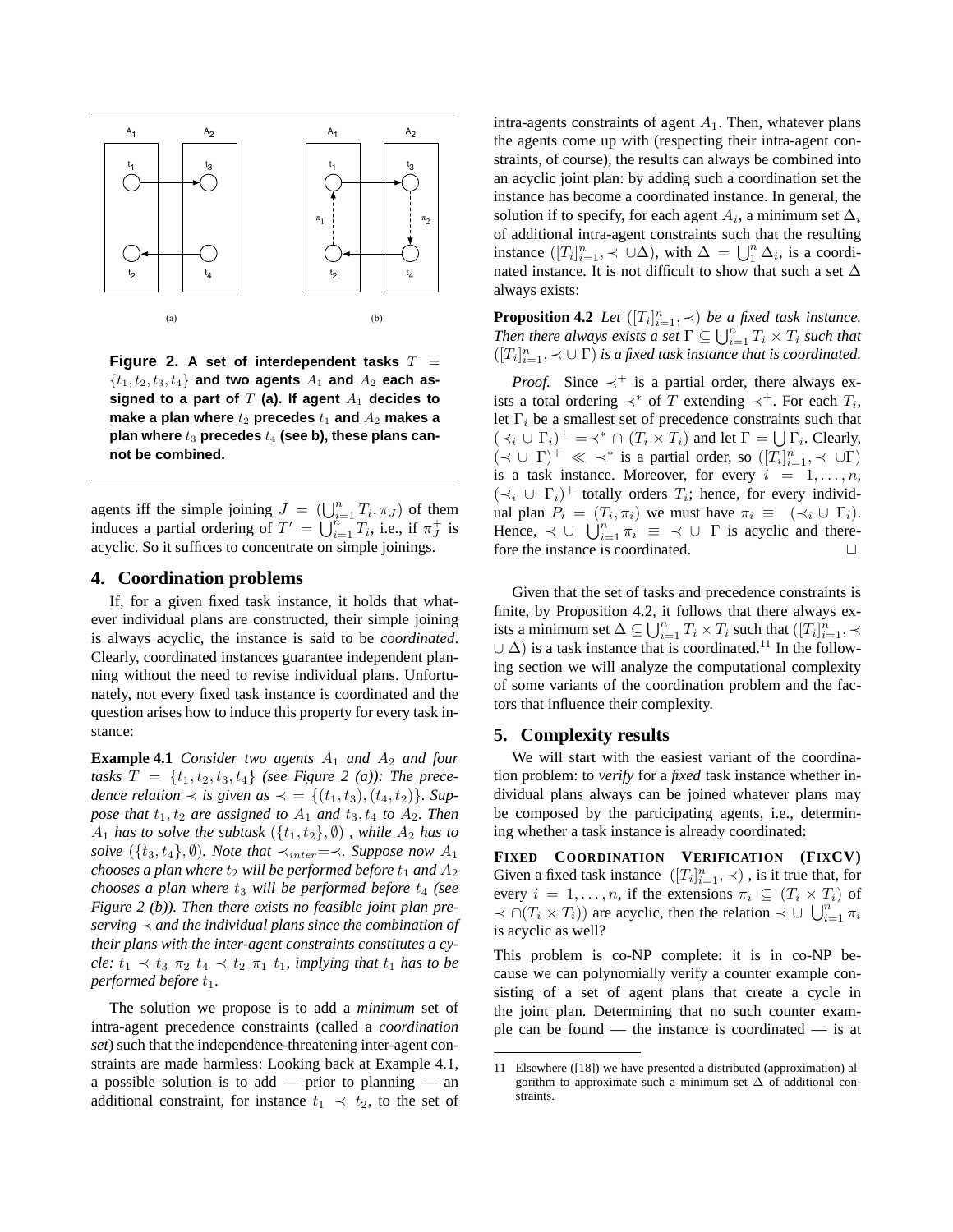

**Figure 2.** A set of interdependent tasks  $T =$  $\{t_1, t_2, t_3, t_4\}$  and two agents  $A_1$  and  $A_2$  each assigned to a part of  $T$  (a). If agent  $A_1$  decides to make a plan where  $t_2$  precedes  $t_1$  and  $A_2$  makes a plan where  $t_3$  precedes  $t_4$  (see b), these plans can**not be combined.**

agents iff the simple joining  $J = (\bigcup_{i=1}^n T_i, \pi_J)$  of them induces a partial ordering of  $T' = \bigcup_{i=1}^{n-1} T_i$ , i.e., if  $\pi_j^+$  is acyclic. So it suffices to concentrate on simple joinings.

#### **4. Coordination problems**

If, for a given fixed task instance, it holds that whatever individual plans are constructed, their simple joining is always acyclic, the instance is said to be *coordinated*. Clearly, coordinated instances guarantee independent planning without the need to revise individual plans. Unfortunately, not every fixed task instance is coordinated and the question arises how to induce this property for every task instance:

**Example 4.1** *Consider two agents*  $A_1$  *and*  $A_2$  *and four tasks*  $T = \{t_1, t_2, t_3, t_4\}$  *(see Figure 2 (a)): The precedence relation*  $\prec$  *is given as*  $\prec$  = {( $t_1, t_3$ ), ( $t_4, t_2$ )}*. Suppose that*  $t_1, t_2$  *are assigned to*  $A_1$  *and*  $t_3, t_4$  *to*  $A_2$ *. Then*  $A_1$  *has to solve the subtask*  $({t_1, t_2}, \emptyset)$ , *while*  $A_2$  *has to solve* ( $\{t_3, t_4\}$ ,  $\emptyset$ )*. Note that*  $\prec_{inter} = \prec$ *. Suppose now*  $A_1$ *chooses a plan where*  $t_2$  *will be performed before*  $t_1$  *and*  $A_2$ *chooses a plan where*  $t_3$  *will be performed before*  $t_4$  *(see Figure 2 (b)). Then there exists no feasible joint plan preserving* ≺ *and the individual plans since the combination of their plans with the inter-agent constraints constitutes a cycle:*  $t_1 \prec t_3 \tau_2 t_4 \prec t_2 \tau_1 t_1$ *, implying that*  $t_1$  *has to be performed before*  $t_1$ *.* 

The solution we propose is to add a *minimum* set of intra-agent precedence constraints (called a *coordination set*) such that the independence-threatening inter-agent constraints are made harmless: Looking back at Example 4.1, a possible solution is to add — prior to planning — an additional constraint, for instance  $t_1 \prec t_2$ , to the set of intra-agents constraints of agent  $A_1$ . Then, whatever plans the agents come up with (respecting their intra-agent constraints, of course), the results can always be combined into an acyclic joint plan: by adding such a coordination set the instance has become a coordinated instance. In general, the solution if to specify, for each agent  $A_i$ , a minimum set  $\Delta_i$ of additional intra-agent constraints such that the resulting instance  $([T_i]_{i=1}^n, \prec \cup \Delta)$ , with  $\Delta = \bigcup_{i=1}^n \Delta_i$ , is a coordinated instance. It is not difficult to show that such a set  $\Delta$ always exists:

**Proposition 4.2** *Let*  $([T_i]_{i=1}^n, \prec)$  *be a fixed task instance. Then there always exists a set*  $\Gamma \subseteq \bigcup_{i=1}^{n} T_i \times T_i$  *such that*  $([T_i]_{i=1}^n, \prec \cup \Gamma)$  *is a fixed task instance that is coordinated.* 

*Proof.* Since  $\prec^+$  is a partial order, there always exists a total ordering  $\prec^*$  of T extending  $\prec^+$ . For each  $T_i$ , let  $\Gamma_i$  be a smallest set of precedence constraints such that  $(\prec_i \cup \Gamma_i)^+ = \prec^* \cap (T_i \times T_i)$  and let  $\Gamma = \bigcup \Gamma_i$ . Clearly,  $(\prec \cup \Gamma)^+ \ll \prec^*$  is a partial order, so  $([T_i]_{i=1}^n, \prec \cup \Gamma)$ is a task instance. Moreover, for every  $i = 1, \ldots, n$ ,  $(\prec_i \cup \Gamma_i)^+$  totally orders  $T_i$ ; hence, for every individual plan  $P_i = (T_i, \pi_i)$  we must have  $\pi_i \equiv (\prec_i \cup \Gamma_i)$ . Hence,  $\prec \cup \bigcup_{i=1}^n \pi_i \equiv \prec \cup \Gamma$  is acyclic and therefore the instance is coordinated.

Given that the set of tasks and precedence constraints is finite, by Proposition 4.2, it follows that there always exists a minimum set  $\Delta \subseteq \bigcup_{i=1}^n T_i \times T_i$  such that  $([T_i]_{i=1}^n, \prec)$  $\cup \Delta$ ) is a task instance that is coordinated.<sup>11</sup> In the following section we will analyze the computational complexity of some variants of the coordination problem and the factors that influence their complexity.

## **5. Complexity results**

We will start with the easiest variant of the coordination problem: to *verify* for a *fixed* task instance whether individual plans always can be joined whatever plans may be composed by the participating agents, i.e., determining whether a task instance is already coordinated:

**FIXED COORDINATION VERIFICATION (FIXCV)** Given a fixed task instance  $([T_i]_{i=1}^n, \prec)$ , is it true that, for every  $i = 1, \ldots, n$ , if the extensions  $\pi_i \subseteq (T_i \times T_i)$  of  $\prec \bigcap (T_i \times T_i)$  are acyclic, then the relation  $\prec \bigcup \bigcup_{i=1}^n \pi_i$ is acyclic as well?

This problem is co-NP complete: it is in co-NP because we can polynomially verify a counter example consisting of a set of agent plans that create a cycle in the joint plan. Determining that no such counter example can be found — the instance is coordinated — is at

<sup>11</sup> Elsewhere ([18]) we have presented a distributed (approximation) algorithm to approximate such a minimum set  $\Delta$  of additional constraints.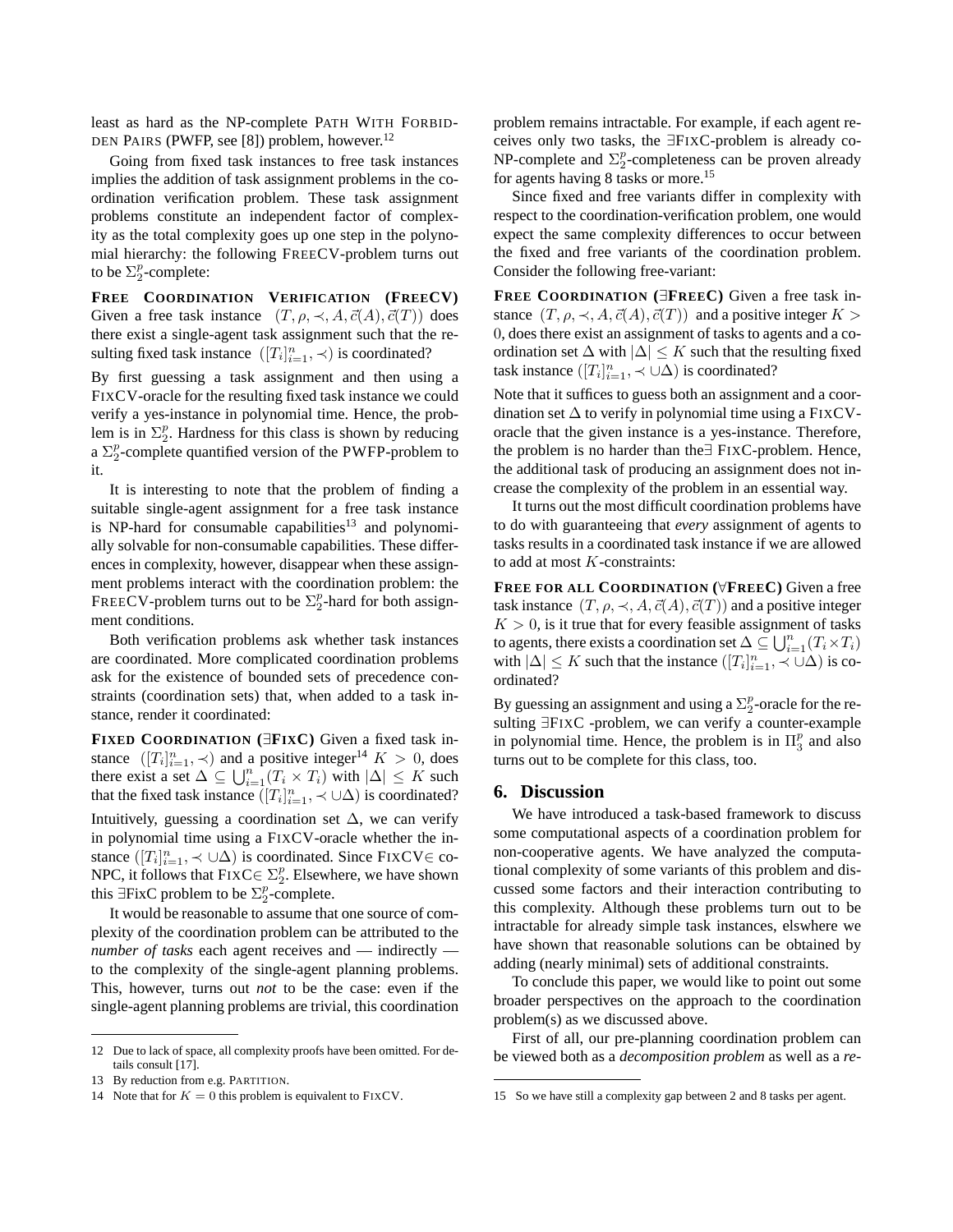least as hard as the NP-complete PATH WITH FORBID-DEN PAIRS (PWFP, see [8]) problem, however.<sup>12</sup>

Going from fixed task instances to free task instances implies the addition of task assignment problems in the coordination verification problem. These task assignment problems constitute an independent factor of complexity as the total complexity goes up one step in the polynomial hierarchy: the following FREECV-problem turns out to be  $\Sigma_2^p$ -complete:

**FREE COORDINATION VERIFICATION (FREECV)** Given a free task instance  $(T, \rho, \prec, A, \vec{c}(A), \vec{c}(T))$  does there exist a single-agent task assignment such that the resulting fixed task instance  $([T_i]_{i=1}^n, \prec)$  is coordinated?

By first guessing a task assignment and then using a FIXCV-oracle for the resulting fixed task instance we could verify a yes-instance in polynomial time. Hence, the problem is in  $\Sigma_2^p$ . Hardness for this class is shown by reducing a  $\Sigma_2^p$ -complete quantified version of the PWFP-problem to it.

It is interesting to note that the problem of finding a suitable single-agent assignment for a free task instance is NP-hard for consumable capabilities<sup>13</sup> and polynomially solvable for non-consumable capabilities. These differences in complexity, however, disappear when these assignment problems interact with the coordination problem: the FREECV-problem turns out to be  $\Sigma_2^p$ -hard for both assignment conditions.

Both verification problems ask whether task instances are coordinated. More complicated coordination problems ask for the existence of bounded sets of precedence constraints (coordination sets) that, when added to a task instance, render it coordinated:

**FIXED COORDINATION (**∃**FIXC)** Given a fixed task instance  $([T_i]_{i=1}^n, \prec)$  and a positive integer<sup>14</sup>  $K > 0$ , does there exist a set  $\Delta \subseteq \bigcup_{i=1}^{n} (T_i \times T_i)$  with  $|\Delta| \leq K$  such that the fixed task instance  $([T_i]_{i=1}^n, \prec \cup \Delta)$  is coordinated?

Intuitively, guessing a coordination set  $\Delta$ , we can verify in polynomial time using a FIXCV-oracle whether the instance  $([T_i]_{i=1}^n, \prec \cup \Delta)$  is coordinated. Since FIXCV∈ co-NPC, it follows that  $\text{FixC} \in \Sigma_2^p$ . Elsewhere, we have shown this ∃FixC problem to be  $\Sigma_2^p$ -complete.

It would be reasonable to assume that one source of complexity of the coordination problem can be attributed to the *number of tasks* each agent receives and — indirectly to the complexity of the single-agent planning problems. This, however, turns out *not* to be the case: even if the single-agent planning problems are trivial, this coordination

problem remains intractable. For example, if each agent receives only two tasks, the ∃FIXC-problem is already co-NP-complete and  $\Sigma_2^p$ -completeness can be proven already for agents having 8 tasks or more.<sup>15</sup>

Since fixed and free variants differ in complexity with respect to the coordination-verification problem, one would expect the same complexity differences to occur between the fixed and free variants of the coordination problem. Consider the following free-variant:

**FREE COORDINATION (**∃**FREEC)** Given a free task instance  $(T, \rho, \prec, A, \vec{c}(A), \vec{c}(T))$  and a positive integer  $K >$ 0, does there exist an assignment of tasks to agents and a coordination set  $\Delta$  with  $|\Delta| \leq K$  such that the resulting fixed task instance  $([T_i]_{i=1}^n, \prec \cup \Delta)$  is coordinated?

Note that it suffices to guess both an assignment and a coordination set  $\Delta$  to verify in polynomial time using a FIXCVoracle that the given instance is a yes-instance. Therefore, the problem is no harder than the∃ FIXC-problem. Hence, the additional task of producing an assignment does not increase the complexity of the problem in an essential way.

It turns out the most difficult coordination problems have to do with guaranteeing that *every* assignment of agents to tasks results in a coordinated task instance if we are allowed to add at most  $K$ -constraints:

**FREE FOR ALL COORDINATION (**∀**FREEC)** Given a free task instance  $(T, \rho, \prec, A, \vec{c}(A), \vec{c}(T))$  and a positive integer  $K > 0$ , is it true that for every feasible assignment of tasks to agents, there exists a coordination set  $\Delta \subseteq \bigcup_{i=1}^n (T_i \times T_i)$ with  $|\Delta| \leq K$  such that the instance  $([T_i]_{i=1}^n, \prec \cup \Delta)$  is coordinated?

By guessing an assignment and using a  $\Sigma_2^p$ -oracle for the resulting ∃FIXC -problem, we can verify a counter-example in polynomial time. Hence, the problem is in  $\Pi_3^p$  and also turns out to be complete for this class, too.

#### **6. Discussion**

We have introduced a task-based framework to discuss some computational aspects of a coordination problem for non-cooperative agents. We have analyzed the computational complexity of some variants of this problem and discussed some factors and their interaction contributing to this complexity. Although these problems turn out to be intractable for already simple task instances, elswhere we have shown that reasonable solutions can be obtained by adding (nearly minimal) sets of additional constraints.

To conclude this paper, we would like to point out some broader perspectives on the approach to the coordination problem(s) as we discussed above.

First of all, our pre-planning coordination problem can be viewed both as a *decomposition problem* as well as a *re-*

<sup>12</sup> Due to lack of space, all complexity proofs have been omitted. For details consult [17].

<sup>13</sup> By reduction from e.g. PARTITION.

<sup>14</sup> Note that for  $K = 0$  this problem is equivalent to FIXCV.

<sup>15</sup> So we have still a complexity gap between 2 and 8 tasks per agent.